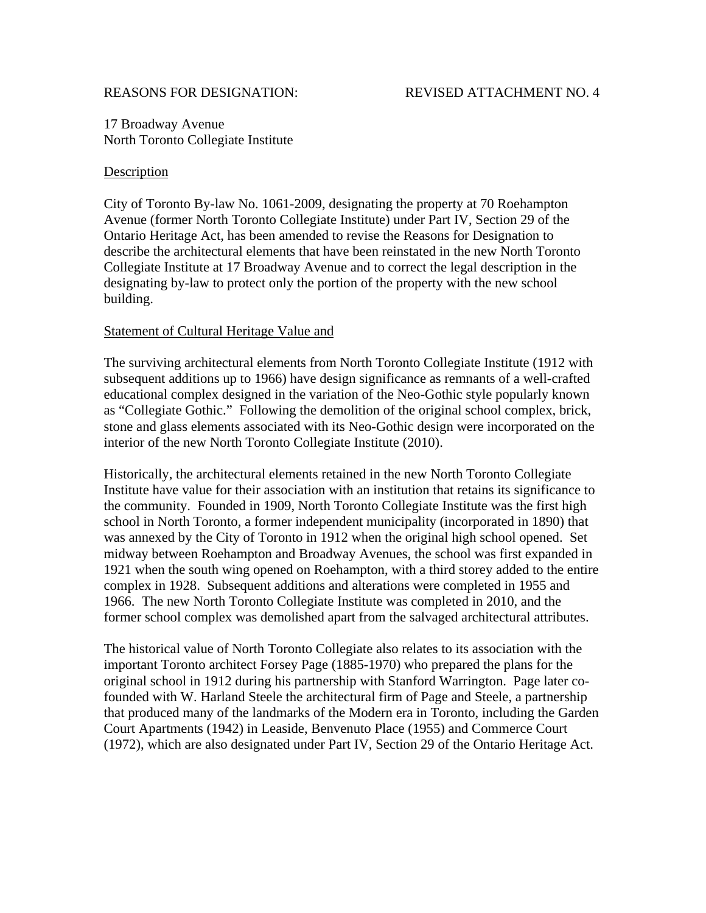## REASONS FOR DESIGNATION: REVISED ATTACHMENT NO. 4

17 Broadway Avenue North Toronto Collegiate Institute

## **Description**

City of Toronto By-law No. 1061-2009, designating the property at 70 Roehampton Avenue (former North Toronto Collegiate Institute) under Part IV, Section 29 of the Ontario Heritage Act, has been amended to revise the Reasons for Designation to describe the architectural elements that have been reinstated in the new North Toronto Collegiate Institute at 17 Broadway Avenue and to correct the legal description in the designating by-law to protect only the portion of the property with the new school building.

## Statement of Cultural Heritage Value and

The surviving architectural elements from North Toronto Collegiate Institute (1912 with subsequent additions up to 1966) have design significance as remnants of a well-crafted educational complex designed in the variation of the Neo-Gothic style popularly known as "Collegiate Gothic." Following the demolition of the original school complex, brick, stone and glass elements associated with its Neo-Gothic design were incorporated on the interior of the new North Toronto Collegiate Institute (2010).

Historically, the architectural elements retained in the new North Toronto Collegiate Institute have value for their association with an institution that retains its significance to the community. Founded in 1909, North Toronto Collegiate Institute was the first high school in North Toronto, a former independent municipality (incorporated in 1890) that was annexed by the City of Toronto in 1912 when the original high school opened. Set midway between Roehampton and Broadway Avenues, the school was first expanded in 1921 when the south wing opened on Roehampton, with a third storey added to the entire complex in 1928. Subsequent additions and alterations were completed in 1955 and 1966. The new North Toronto Collegiate Institute was completed in 2010, and the former school complex was demolished apart from the salvaged architectural attributes.

The historical value of North Toronto Collegiate also relates to its association with the important Toronto architect Forsey Page (1885-1970) who prepared the plans for the original school in 1912 during his partnership with Stanford Warrington. Page later cofounded with W. Harland Steele the architectural firm of Page and Steele, a partnership that produced many of the landmarks of the Modern era in Toronto, including the Garden Court Apartments (1942) in Leaside, Benvenuto Place (1955) and Commerce Court (1972), which are also designated under Part IV, Section 29 of the Ontario Heritage Act.